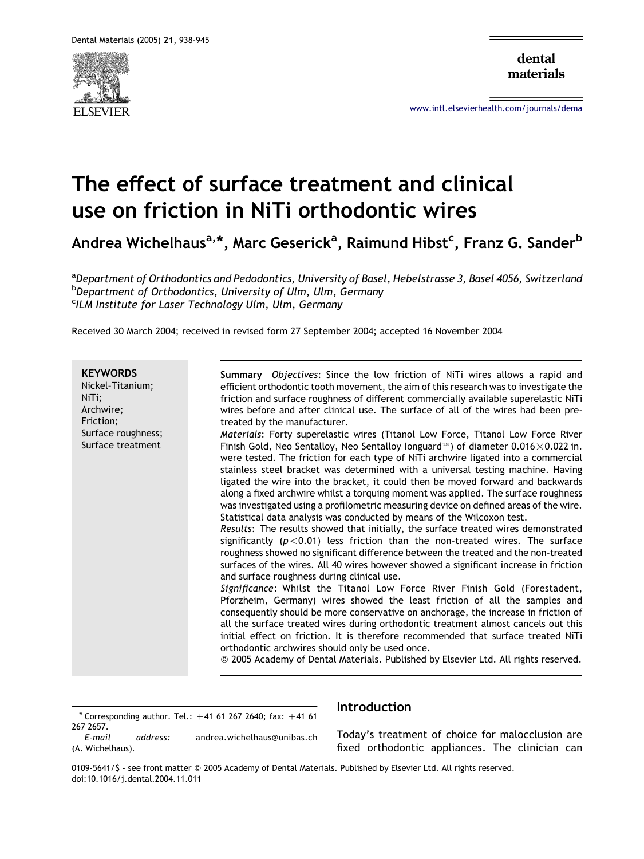

dental materials

[www.intl.elsevierhealth.com/journals/dema](http://www.intl.elsevierhealth.com/journals/dema)

# The effect of surface treatment and clinical use on friction in NiTi orthodontic wires

Andrea Wichelhaus<sup>a,</sup>\*, Marc Geserick<sup>a</sup>, Raimund Hibst<sup>c</sup>, Franz G. Sander<sup>b</sup>

<sup>a</sup>Department of Orthodontics and Pedodontics, University of Basel, Hebelstrasse 3, Basel 4056, Switzerland b Department of Orthodontics, University of Ulm, Ulm, Germany <sup>c</sup>ILM Institute for Laser Technology Ulm, Ulm, Germany

Received 30 March 2004; received in revised form 27 September 2004; accepted 16 November 2004

**KFYWORDS** Nickel–Titanium; NiTi; Archwire; Friction; Surface roughness; Surface treatment Summary Objectives: Since the low friction of NiTi wires allows a rapid and efficient orthodontic tooth movement, the aim of this research was to investigate the friction and surface roughness of different commercially available superelastic NiTi wires before and after clinical use. The surface of all of the wires had been pretreated by the manufacturer. Materials: Forty superelastic wires (Titanol Low Force, Titanol Low Force River Finish Gold, Neo Sentalloy, Neo Sentalloy Ionguard  $\mathbb{N}$ ) of diameter 0.016 $\times$ 0.022 in. were tested. The friction for each type of NiTi archwire ligated into a commercial stainless steel bracket was determined with a universal testing machine. Having ligated the wire into the bracket, it could then be moved forward and backwards along a fixed archwire whilst a torquing moment was applied. The surface roughness was investigated using a profilometric measuring device on defined areas of the wire. Statistical data analysis was conducted by means of the Wilcoxon test. Results: The results showed that initially, the surface treated wires demonstrated significantly ( $p < 0.01$ ) less friction than the non-treated wires. The surface roughness showed no significant difference between the treated and the non-treated surfaces of the wires. All 40 wires however showed a significant increase in friction and surface roughness during clinical use. Significance: Whilst the Titanol Low Force River Finish Gold (Forestadent, Pforzheim, Germany) wires showed the least friction of all the samples and consequently should be more conservative on anchorage, the increase in friction of all the surface treated wires during orthodontic treatment almost cancels out this initial effect on friction. It is therefore recommended that surface treated NiTi orthodontic archwires should only be used once. Q 2005 Academy of Dental Materials. Published by Elsevier Ltd. All rights reserved.

 $*$  Corresponding author. Tel.:  $+41$  61 267 2640; fax:  $+41$  61 267 2657.<br>F-mail

address: andrea.wichelhaus@unibas.ch (A. Wichelhaus).

# Introduction

Today's treatment of choice for malocclusion are fixed orthodontic appliances. The clinician can

0109-5641/S - see front matter © 2005 Academy of Dental Materials. Published by Elsevier Ltd. All rights reserved. doi:10.1016/j.dental.2004.11.011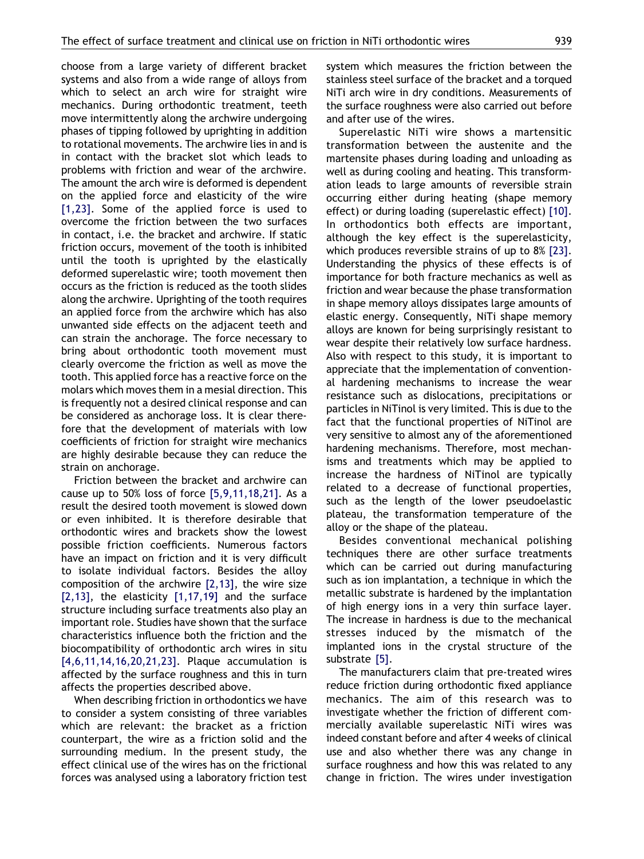choose from a large variety of different bracket systems and also from a wide range of alloys from which to select an arch wire for straight wire mechanics. During orthodontic treatment, teeth move intermittently along the archwire undergoing phases of tipping followed by uprighting in addition to rotational movements. The archwire lies in and is in contact with the bracket slot which leads to problems with friction and wear of the archwire. The amount the arch wire is deformed is dependent on the applied force and elasticity of the wire [\[1,23\]](#page-7-0). Some of the applied force is used to overcome the friction between the two surfaces in contact, i.e. the bracket and archwire. If static friction occurs, movement of the tooth is inhibited until the tooth is uprighted by the elastically deformed superelastic wire; tooth movement then occurs as the friction is reduced as the tooth slides along the archwire. Uprighting of the tooth requires an applied force from the archwire which has also unwanted side effects on the adjacent teeth and can strain the anchorage. The force necessary to bring about orthodontic tooth movement must clearly overcome the friction as well as move the tooth. This applied force has a reactive force on the molars which moves them in a mesial direction. This is frequently not a desired clinical response and can be considered as anchorage loss. It is clear therefore that the development of materials with low coefficients of friction for straight wire mechanics are highly desirable because they can reduce the strain on anchorage.

Friction between the bracket and archwire can cause up to 50% loss of force [\[5,9,11,18,21\]](#page-7-0). As a result the desired tooth movement is slowed down or even inhibited. It is therefore desirable that orthodontic wires and brackets show the lowest possible friction coefficients. Numerous factors have an impact on friction and it is very difficult to isolate individual factors. Besides the alloy composition of the archwire [\[2,13\],](#page-7-0) the wire size  $[2,13]$ , the elasticity  $[1,17,19]$  and the surface structure including surface treatments also play an important role. Studies have shown that the surface characteristics influence both the friction and the biocompatibility of orthodontic arch wires in situ [\[4,6,11,14,16,20,21,23\]](#page-7-0). Plaque accumulation is affected by the surface roughness and this in turn affects the properties described above.

When describing friction in orthodontics we have to consider a system consisting of three variables which are relevant: the bracket as a friction counterpart, the wire as a friction solid and the surrounding medium. In the present study, the effect clinical use of the wires has on the frictional forces was analysed using a laboratory friction test system which measures the friction between the stainless steel surface of the bracket and a torqued NiTi arch wire in dry conditions. Measurements of the surface roughness were also carried out before and after use of the wires.

Superelastic NiTi wire shows a martensitic transformation between the austenite and the martensite phases during loading and unloading as well as during cooling and heating. This transformation leads to large amounts of reversible strain occurring either during heating (shape memory effect) or during loading (superelastic effect) [\[10\]](#page-7-0). In orthodontics both effects are important, although the key effect is the superelasticity, which produces reversible strains of up to 8% [\[23\]](#page-7-0). Understanding the physics of these effects is of importance for both fracture mechanics as well as friction and wear because the phase transformation in shape memory alloys dissipates large amounts of elastic energy. Consequently, NiTi shape memory alloys are known for being surprisingly resistant to wear despite their relatively low surface hardness. Also with respect to this study, it is important to appreciate that the implementation of conventional hardening mechanisms to increase the wear resistance such as dislocations, precipitations or particles in NiTinol is very limited. This is due to the fact that the functional properties of NiTinol are very sensitive to almost any of the aforementioned hardening mechanisms. Therefore, most mechanisms and treatments which may be applied to increase the hardness of NiTinol are typically related to a decrease of functional properties, such as the length of the lower pseudoelastic plateau, the transformation temperature of the alloy or the shape of the plateau.

Besides conventional mechanical polishing techniques there are other surface treatments which can be carried out during manufacturing such as ion implantation, a technique in which the metallic substrate is hardened by the implantation of high energy ions in a very thin surface layer. The increase in hardness is due to the mechanical stresses induced by the mismatch of the implanted ions in the crystal structure of the substrate [\[5\].](#page-7-0)

The manufacturers claim that pre-treated wires reduce friction during orthodontic fixed appliance mechanics. The aim of this research was to investigate whether the friction of different commercially available superelastic NiTi wires was indeed constant before and after 4 weeks of clinical use and also whether there was any change in surface roughness and how this was related to any change in friction. The wires under investigation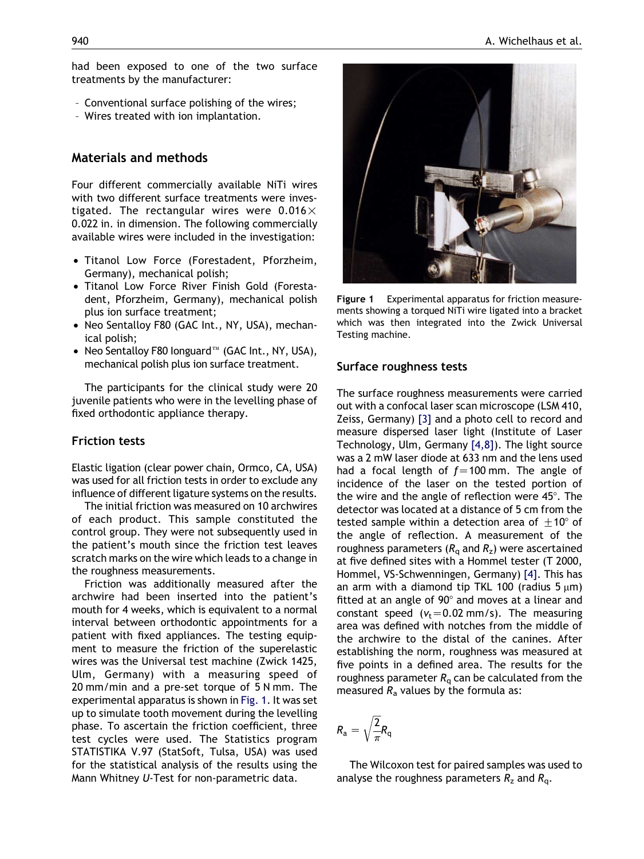had been exposed to one of the two surface treatments by the manufacturer:

- Conventional surface polishing of the wires;
- Wires treated with ion implantation.

# Materials and methods

Four different commercially available NiTi wires with two different surface treatments were investigated. The rectangular wires were  $0.016 \times$ 0.022 in. in dimension. The following commercially available wires were included in the investigation:

- Titanol Low Force (Forestadent, Pforzheim, Germany), mechanical polish;
- Titanol Low Force River Finish Gold (Forestadent, Pforzheim, Germany), mechanical polish plus ion surface treatment;
- Neo Sentalloy F80 (GAC Int., NY, USA), mechanical polish;
- Neo Sentalloy F80 Ionguard $\mathbb{I}^{\mathbb{N}}$  (GAC Int., NY, USA), mechanical polish plus ion surface treatment.

The participants for the clinical study were 20 juvenile patients who were in the levelling phase of fixed orthodontic appliance therapy.

## Friction tests

Elastic ligation (clear power chain, Ormco, CA, USA) was used for all friction tests in order to exclude any influence of different ligature systems on the results.

The initial friction was measured on 10 archwires of each product. This sample constituted the control group. They were not subsequently used in the patient's mouth since the friction test leaves scratch marks on the wire which leads to a change in the roughness measurements.

Friction was additionally measured after the archwire had been inserted into the patient's mouth for 4 weeks, which is equivalent to a normal interval between orthodontic appointments for a patient with fixed appliances. The testing equipment to measure the friction of the superelastic wires was the Universal test machine (Zwick 1425, Ulm, Germany) with a measuring speed of 20 mm/min and a pre-set torque of 5 N mm. The experimental apparatus is shown in Fig. 1. It was set up to simulate tooth movement during the levelling phase. To ascertain the friction coefficient, three test cycles were used. The Statistics program STATISTIKA V.97 (StatSoft, Tulsa, USA) was used for the statistical analysis of the results using the Mann Whitney U-Test for non-parametric data.



Figure 1 Experimental apparatus for friction measurements showing a torqued NiTi wire ligated into a bracket which was then integrated into the Zwick Universal Testing machine.

## Surface roughness tests

The surface roughness measurements were carried out with a confocal laser scan microscope (LSM 410, Zeiss, Germany) [\[3\]](#page-7-0) and a photo cell to record and measure dispersed laser light (Institute of Laser Technology, Ulm, Germany [\[4,8\]\)](#page-7-0). The light source was a 2 mW laser diode at 633 nm and the lens used had a focal length of  $f=100$  mm. The angle of incidence of the laser on the tested portion of the wire and the angle of reflection were  $45^\circ$ . The detector was located at a distance of 5 cm from the tested sample within a detection area of  $+10^{\circ}$  of the angle of reflection. A measurement of the roughness parameters ( $R<sub>a</sub>$  and  $R<sub>z</sub>$ ) were ascertained at five defined sites with a Hommel tester (T 2000, Hommel, VS-Schwenningen, Germany) [\[4\].](#page-7-0) This has an arm with a diamond tip TKL 100 (radius  $5 \mu m$ ) fitted at an angle of  $90^\circ$  and moves at a linear and constant speed ( $v_t$ =0.02 mm/s). The measuring area was defined with notches from the middle of the archwire to the distal of the canines. After establishing the norm, roughness was measured at five points in a defined area. The results for the roughness parameter  $R<sub>a</sub>$  can be calculated from the measured  $R_a$  values by the formula as:

$$
R_{\rm a}=\sqrt{\frac{2}{\pi}}R_{\rm q}
$$

The Wilcoxon test for paired samples was used to analyse the roughness parameters  $R_z$  and  $R_q$ .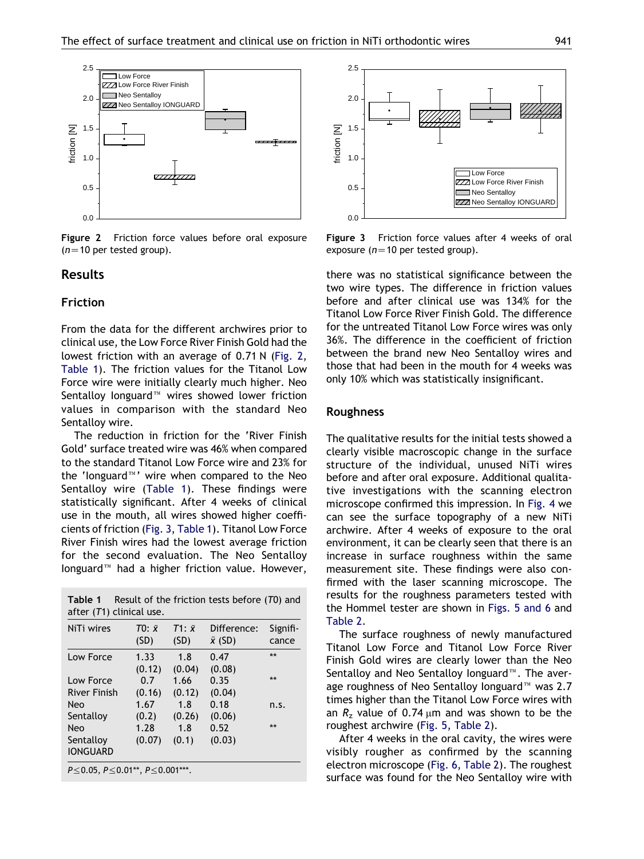

Figure 2 Friction force values before oral exposure  $(n=10$  per tested group).

## Results

#### Friction

From the data for the different archwires prior to clinical use, the Low Force River Finish Gold had the lowest friction with an average of 0.71 N (Fig. 2, Table 1). The friction values for the Titanol Low Force wire were initially clearly much higher. Neo Sentalloy longuard<sup>™</sup> wires showed lower friction values in comparison with the standard Neo Sentalloy wire.

The reduction in friction for the 'River Finish Gold' surface treated wire was 46% when compared to the standard Titanol Low Force wire and 23% for the 'longuard $\mathbb{I}^N$ ' wire when compared to the Neo Sentalloy wire (Table 1). These findings were statistically significant. After 4 weeks of clinical use in the mouth, all wires showed higher coefficients of friction (Fig. 3, Table 1). Titanol Low Force River Finish wires had the lowest average friction for the second evaluation. The Neo Sentalloy Ionguard<sup> $m$ </sup> had a higher friction value. However,

| NiTi wires          | $T0: \bar{x}$ | $T1: \bar{x}$ | Difference:    | Signifi- |
|---------------------|---------------|---------------|----------------|----------|
|                     | (SD)          | (SD)          | $\bar{x}$ (SD) | cance    |
| Low Force           | 1.33          | 1.8           | 0.47           | 头头       |
|                     | (0.12)        | (0.04)        | (0.08)         |          |
| Low Force           | 0.7           | 1.66          | 0.35           | 安安       |
| <b>River Finish</b> | (0.16)        | (0.12)        | (0.04)         |          |
| Neo                 | 1.67          | 1.8           | 0.18           | n.s.     |
| Sentalloy           | (0.2)         | (0.26)        | (0.06)         |          |
| Neo                 | 1.28          | 1.8           | 0.52           | 头头       |
| Sentalloy           | (0.07)        | (0.1)         | (0.03)         |          |
| <b>IONGUARD</b>     |               |               |                |          |



Figure 3 Friction force values after 4 weeks of oral exposure ( $n=10$  per tested group).

there was no statistical significance between the two wire types. The difference in friction values before and after clinical use was 134% for the Titanol Low Force River Finish Gold. The difference for the untreated Titanol Low Force wires was only 36%. The difference in the coefficient of friction between the brand new Neo Sentalloy wires and those that had been in the mouth for 4 weeks was only 10% which was statistically insignificant.

#### Roughness

The qualitative results for the initial tests showed a clearly visible macroscopic change in the surface structure of the individual, unused NiTi wires before and after oral exposure. Additional qualitative investigations with the scanning electron microscope confirmed this impression. In [Fig. 4](#page-4-0) we can see the surface topography of a new NiTi archwire. After 4 weeks of exposure to the oral environment, it can be clearly seen that there is an increase in surface roughness within the same measurement site. These findings were also confirmed with the laser scanning microscope. The results for the roughness parameters tested with the Hommel tester are shown in [Figs. 5 and 6](#page-5-0) and [Table 2.](#page-5-0)

The surface roughness of newly manufactured Titanol Low Force and Titanol Low Force River Finish Gold wires are clearly lower than the Neo Sentalloy and Neo Sentalloy Ionguard<sup>™</sup>. The average roughness of Neo Sentalloy Ionguard<sup> $m$ </sup> was 2.7 times higher than the Titanol Low Force wires with an  $R_z$  value of 0.74  $\mu$ m and was shown to be the roughest archwire ([Fig. 5,](#page-5-0) [Table 2](#page-5-0)).

After 4 weeks in the oral cavity, the wires were visibly rougher as confirmed by the scanning electron microscope [\(Fig. 6,](#page-5-0) [Table 2\)](#page-5-0). The roughest surface was found for the Neo Sentalloy wire with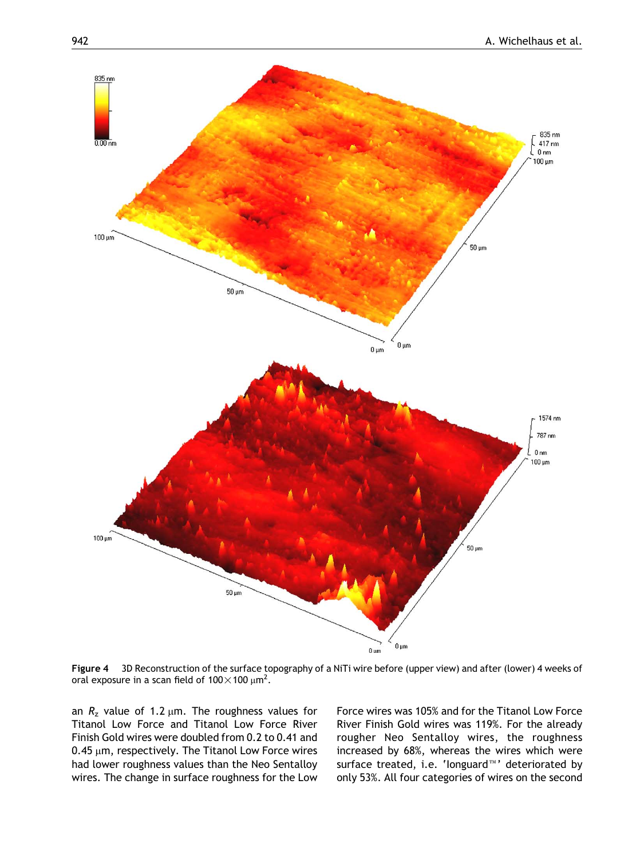<span id="page-4-0"></span>

Figure 4 3D Reconstruction of the surface topography of a NiTi wire before (upper view) and after (lower) 4 weeks of oral exposure in a scan field of 100 $\times$ 100  $\mu$ m $^2$ .

an  $R_z$  value of 1.2  $\mu$ m. The roughness values for Titanol Low Force and Titanol Low Force River Finish Gold wires were doubled from 0.2 to 0.41 and  $0.45 \mu m$ , respectively. The Titanol Low Force wires had lower roughness values than the Neo Sentalloy wires. The change in surface roughness for the Low

Force wires was 105% and for the Titanol Low Force River Finish Gold wires was 119%. For the already rougher Neo Sentalloy wires, the roughness increased by 68%, whereas the wires which were surface treated, i.e. 'longuard™' deteriorated by only 53%. All four categories of wires on the second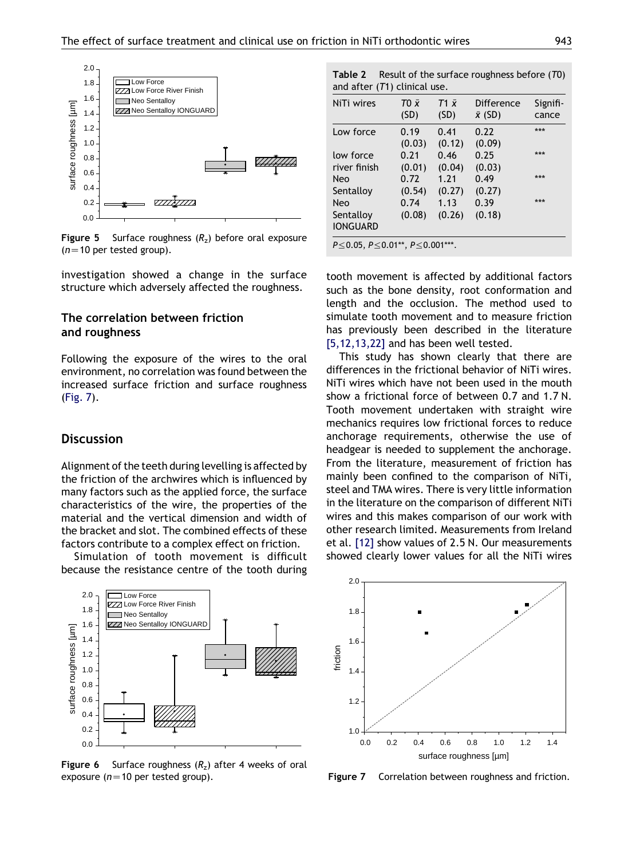<span id="page-5-0"></span>

**Figure 5** Surface roughness  $(R<sub>z</sub>)$  before oral exposure  $(n=10$  per tested group).

investigation showed a change in the surface structure which adversely affected the roughness.

## The correlation between friction and roughness

Following the exposure of the wires to the oral environment, no correlation was found between the increased surface friction and surface roughness (Fig. 7).

# **Discussion**

Alignment of the teeth during levelling is affected by the friction of the archwires which is influenced by many factors such as the applied force, the surface characteristics of the wire, the properties of the material and the vertical dimension and width of the bracket and slot. The combined effects of these factors contribute to a complex effect on friction.

Simulation of tooth movement is difficult because the resistance centre of the tooth during



**Figure 6** Surface roughness  $(R_7)$  after 4 weeks of oral exposure ( $n=10$  per tested group).

Table 2 Result of the surface roughness before (T0) and after (T1) clinical use.

| NiTi wires                                         | TO x           | $T1 \bar{x}$   | Difference     | Signifi- |  |  |
|----------------------------------------------------|----------------|----------------|----------------|----------|--|--|
|                                                    | (SD)           | (SD)           | $\bar{x}$ (SD) | cance    |  |  |
| Low force                                          | 0.19<br>(0.03) | 0.41<br>(0.12) | 0.22<br>(0.09) | ***      |  |  |
| low force                                          | 0.21           | 0.46           | 0.25           | ***      |  |  |
| river finish                                       | (0.01)         | (0.04)         | (0.03)         |          |  |  |
| <b>Neo</b>                                         | 0.72           | 1.21           | 0.49           | ***      |  |  |
| Sentalloy                                          | (0.54)         | (0.27)         | (0.27)         |          |  |  |
| <b>Neo</b><br>Sentalloy<br><b>IONGUARD</b>         | 0.74<br>(0.08) | 1.13<br>(0.26) | 0.39<br>(0.18) | ***      |  |  |
| $P \le 0.05$ , $P \le 0.01**$ , $P \le 0.001***$ . |                |                |                |          |  |  |

tooth movement is affected by additional factors such as the bone density, root conformation and length and the occlusion. The method used to simulate tooth movement and to measure friction has previously been described in the literature [\[5,12,13,22\]](#page-7-0) and has been well tested.

This study has shown clearly that there are differences in the frictional behavior of NiTi wires. NiTi wires which have not been used in the mouth show a frictional force of between 0.7 and 1.7 N. Tooth movement undertaken with straight wire mechanics requires low frictional forces to reduce anchorage requirements, otherwise the use of headgear is needed to supplement the anchorage. From the literature, measurement of friction has mainly been confined to the comparison of NiTi, steel and TMA wires. There is very little information in the literature on the comparison of different NiTi wires and this makes comparison of our work with other research limited. Measurements from Ireland et al. [\[12\]](#page-7-0) show values of 2.5 N. Our measurements showed clearly lower values for all the NiTi wires



Figure 7 Correlation between roughness and friction.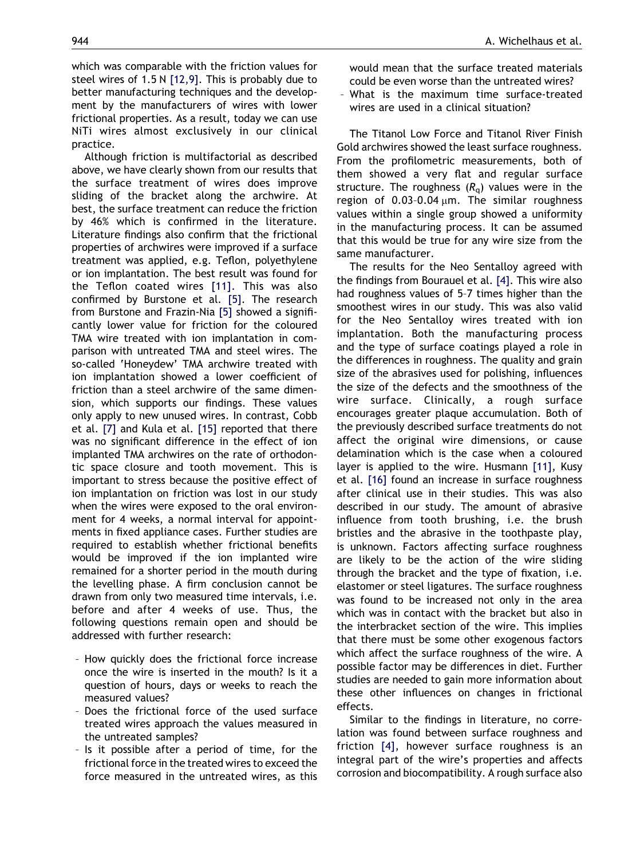which was comparable with the friction values for steel wires of 1.5 N [\[12,9\].](#page-7-0) This is probably due to better manufacturing techniques and the development by the manufacturers of wires with lower frictional properties. As a result, today we can use NiTi wires almost exclusively in our clinical practice.

Although friction is multifactorial as described above, we have clearly shown from our results that the surface treatment of wires does improve sliding of the bracket along the archwire. At best, the surface treatment can reduce the friction by 46% which is confirmed in the literature. Literature findings also confirm that the frictional properties of archwires were improved if a surface treatment was applied, e.g. Teflon, polyethylene or ion implantation. The best result was found for the Teflon coated wires [\[11\]](#page-7-0). This was also confirmed by Burstone et al. [\[5\]](#page-7-0). The research from Burstone and Frazin-Nia [\[5\]](#page-7-0) showed a significantly lower value for friction for the coloured TMA wire treated with ion implantation in comparison with untreated TMA and steel wires. The so-called 'Honeydew' TMA archwire treated with ion implantation showed a lower coefficient of friction than a steel archwire of the same dimension, which supports our findings. These values only apply to new unused wires. In contrast, Cobb et al. [\[7\]](#page-7-0) and Kula et al. [\[15\]](#page-7-0) reported that there was no significant difference in the effect of ion implanted TMA archwires on the rate of orthodontic space closure and tooth movement. This is important to stress because the positive effect of ion implantation on friction was lost in our study when the wires were exposed to the oral environment for 4 weeks, a normal interval for appointments in fixed appliance cases. Further studies are required to establish whether frictional benefits would be improved if the ion implanted wire remained for a shorter period in the mouth during the levelling phase. A firm conclusion cannot be drawn from only two measured time intervals, i.e. before and after 4 weeks of use. Thus, the following questions remain open and should be addressed with further research:

- How quickly does the frictional force increase once the wire is inserted in the mouth? Is it a question of hours, days or weeks to reach the measured values?
- Does the frictional force of the used surface treated wires approach the values measured in the untreated samples?
- Is it possible after a period of time, for the frictional force in the treated wires to exceed the force measured in the untreated wires, as this

would mean that the surface treated materials could be even worse than the untreated wires?

– What is the maximum time surface-treated wires are used in a clinical situation?

The Titanol Low Force and Titanol River Finish Gold archwires showed the least surface roughness. From the profilometric measurements, both of them showed a very flat and regular surface structure. The roughness  $(R<sub>a</sub>)$  values were in the region of 0.03-0.04  $\mu$ m. The similar roughness values within a single group showed a uniformity in the manufacturing process. It can be assumed that this would be true for any wire size from the same manufacturer.

The results for the Neo Sentalloy agreed with the findings from Bourauel et al. [\[4\]](#page-7-0). This wire also had roughness values of 5–7 times higher than the smoothest wires in our study. This was also valid for the Neo Sentalloy wires treated with ion implantation. Both the manufacturing process and the type of surface coatings played a role in the differences in roughness. The quality and grain size of the abrasives used for polishing, influences the size of the defects and the smoothness of the wire surface. Clinically, a rough surface encourages greater plaque accumulation. Both of the previously described surface treatments do not affect the original wire dimensions, or cause delamination which is the case when a coloured layer is applied to the wire. Husmann [\[11\]](#page-7-0), Kusy et al. [\[16\]](#page-7-0) found an increase in surface roughness after clinical use in their studies. This was also described in our study. The amount of abrasive influence from tooth brushing, i.e. the brush bristles and the abrasive in the toothpaste play, is unknown. Factors affecting surface roughness are likely to be the action of the wire sliding through the bracket and the type of fixation, i.e. elastomer or steel ligatures. The surface roughness was found to be increased not only in the area which was in contact with the bracket but also in the interbracket section of the wire. This implies that there must be some other exogenous factors which affect the surface roughness of the wire. A possible factor may be differences in diet. Further studies are needed to gain more information about these other influences on changes in frictional effects.

Similar to the findings in literature, no correlation was found between surface roughness and friction [\[4\]](#page-7-0), however surface roughness is an integral part of the wire's properties and affects corrosion and biocompatibility. A rough surface also